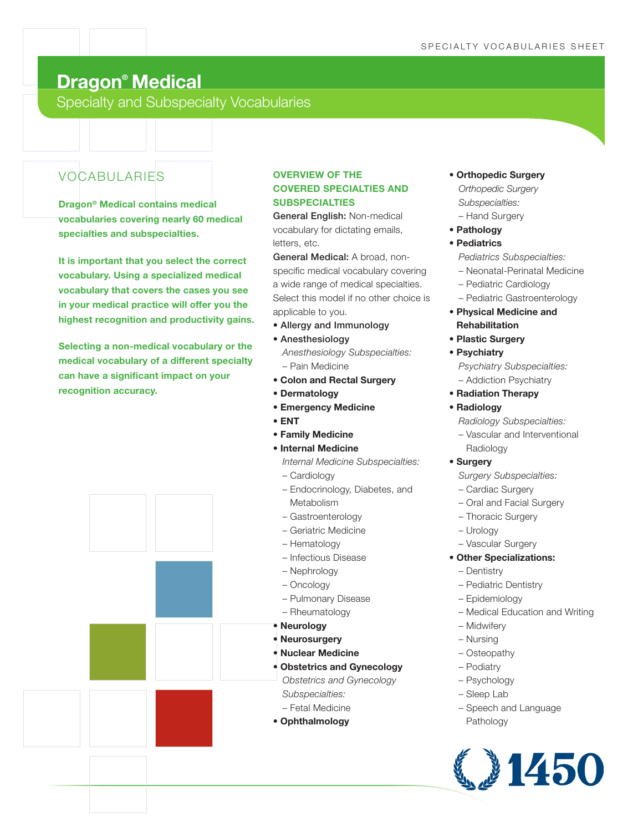# **Dragon® Medical**

Specialty and Subspecialty Vocabularies

## VOCABULARIES

**Dragon® Medical contains medical vocabularies covering nearly 60 medical specialties and subspecialties.**

**It is important that you select the correct vocabulary. Using a specialized medical vocabulary that covers the cases you see in your medical practice will offer you the highest recognition and productivity gains.**

**Selecting a non-medical vocabulary or the medical vocabulary of a different specialty can have a significant impact on your recognition accuracy.**



### **OVERVIEW OF THE COVERED SPECIALTIES AND SUBSPECIALTIES**

General English: Non-medical vocabulary for dictating emails, letters, etc.

General Medical: A broad, nonspecific medical vocabulary covering a wide range of medical specialties. Select this model if no other choice is applicable to you.

- Allergy and Immunology
- Anesthesiology

*Anesthesiology Subspecialties:* – Pain Medicine

- **Colon and Rectal Surgery**
- **Dermatology**
- **Emergency Medicine**
- **ENT**
- **Family Medicine**
- **Internal Medicine** 
	- *Internal Medicine Subspecialties:*
	- Cardiology
	- Endocrinology, Diabetes, and Metabolism
	- Gastroenterology
	- Geriatric Medicine
	- Hematology
	- Infectious Disease
	- Nephrology
	- Oncology
	- Pulmonary Disease
	- Rheumatology
- **Neurology**
- **Neurosurgery**
- **Nuclear Medicine**
- **Obstetrics and Gynecology**
- *Obstetrics and Gynecology Subspecialties:*
- Fetal Medicine
- **Ophthalmology**
- **Orthopedic Surgery** *Orthopedic Surgery* 
	- *Subspecialties:* – Hand Surgery
	-
- **Pathology**
- **Pediatrics** 
	- *Pediatrics Subspecialties:*
	- Neonatal-Perinatal Medicine
	- Pediatric Cardiology
	- Pediatric Gastroenterology
- **Physical Medicine and Rehabilitation**
- **Plastic Surgery**
- **Psychiatry**

*Psychiatry Subspecialties:* – Addiction Psychiatry

- **Radiation Therapy**
- **Radiology** 
	- *Radiology Subspecialties:*
	- Vascular and Interventional Radiology
- **Surgery** 
	- *Surgery Subspecialties:*
	- Cardiac Surgery
	- Oral and Facial Surgery
	- Thoracic Surgery
	- Urology
	- Vascular Surgery
- **Other Specializations:**
	- Dentistry
	- Pediatric Dentistry
	- Epidemiology
	- Medical Education and Writing
	- Midwifery
	- Nursing
	- Osteopathy
	- Podiatry
	- Psychology
	- Sleep Lab
	- Speech and Language Pathology